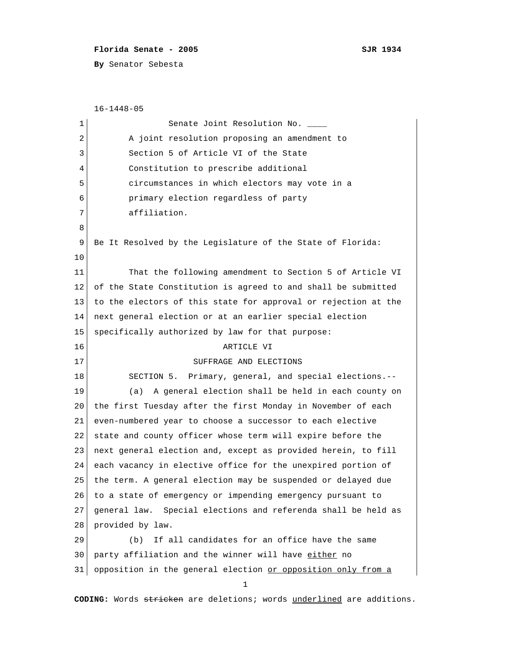## **Florida Senate - 2005 SJR 1934**

**By** Senator Sebesta

 16-1448-05 1 Senate Joint Resolution No. 2 A joint resolution proposing an amendment to 3 Section 5 of Article VI of the State 4 Constitution to prescribe additional 5 circumstances in which electors may vote in a 6 primary election regardless of party 7 affiliation. 8 9 Be It Resolved by the Legislature of the State of Florida: 10 11 That the following amendment to Section 5 of Article VI 12 of the State Constitution is agreed to and shall be submitted 13 to the electors of this state for approval or rejection at the 14 next general election or at an earlier special election 15 specifically authorized by law for that purpose: 16 ARTICLE VI 17 SUFFRAGE AND ELECTIONS 18 SECTION 5. Primary, general, and special elections.--19 (a) A general election shall be held in each county on 20 the first Tuesday after the first Monday in November of each 21 even-numbered year to choose a successor to each elective 22 state and county officer whose term will expire before the 23 next general election and, except as provided herein, to fill 24 each vacancy in elective office for the unexpired portion of 25 the term. A general election may be suspended or delayed due 26 to a state of emergency or impending emergency pursuant to 27 general law. Special elections and referenda shall be held as 28 provided by law. 29 (b) If all candidates for an office have the same 30 party affiliation and the winner will have either no  $31$  opposition in the general election or opposition only from a 1

**CODING:** Words stricken are deletions; words underlined are additions.